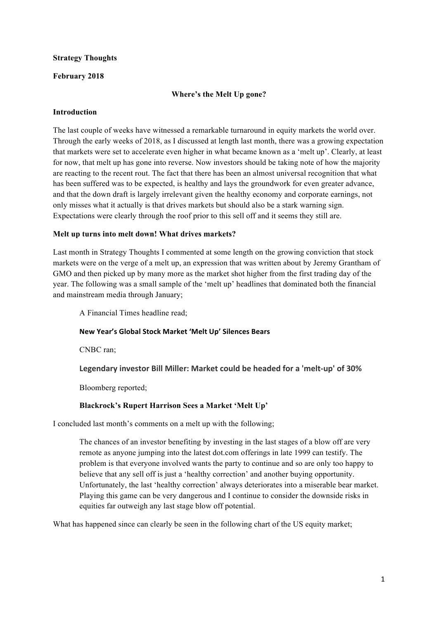### **Strategy Thoughts**

### **February 2018**

### **Where's the Melt Up gone?**

### **Introduction**

The last couple of weeks have witnessed a remarkable turnaround in equity markets the world over. Through the early weeks of 2018, as I discussed at length last month, there was a growing expectation that markets were set to accelerate even higher in what became known as a 'melt up'. Clearly, at least for now, that melt up has gone into reverse. Now investors should be taking note of how the majority are reacting to the recent rout. The fact that there has been an almost universal recognition that what has been suffered was to be expected, is healthy and lays the groundwork for even greater advance, and that the down draft is largely irrelevant given the healthy economy and corporate earnings, not only misses what it actually is that drives markets but should also be a stark warning sign. Expectations were clearly through the roof prior to this sell off and it seems they still are.

### **Melt up turns into melt down! What drives markets?**

Last month in Strategy Thoughts I commented at some length on the growing conviction that stock markets were on the verge of a melt up, an expression that was written about by Jeremy Grantham of GMO and then picked up by many more as the market shot higher from the first trading day of the year. The following was a small sample of the 'melt up' headlines that dominated both the financial and mainstream media through January;

A Financial Times headline read;

#### **New Year's Global Stock Market 'Melt Up' Silences Bears**

CNBC ran;

Legendary investor Bill Miller: Market could be headed for a 'melt-up' of 30%

Bloomberg reported;

# **Blackrock's Rupert Harrison Sees a Market 'Melt Up'**

I concluded last month's comments on a melt up with the following;

The chances of an investor benefiting by investing in the last stages of a blow off are very remote as anyone jumping into the latest dot.com offerings in late 1999 can testify. The problem is that everyone involved wants the party to continue and so are only too happy to believe that any sell off is just a 'healthy correction' and another buying opportunity. Unfortunately, the last 'healthy correction' always deteriorates into a miserable bear market. Playing this game can be very dangerous and I continue to consider the downside risks in equities far outweigh any last stage blow off potential.

What has happened since can clearly be seen in the following chart of the US equity market;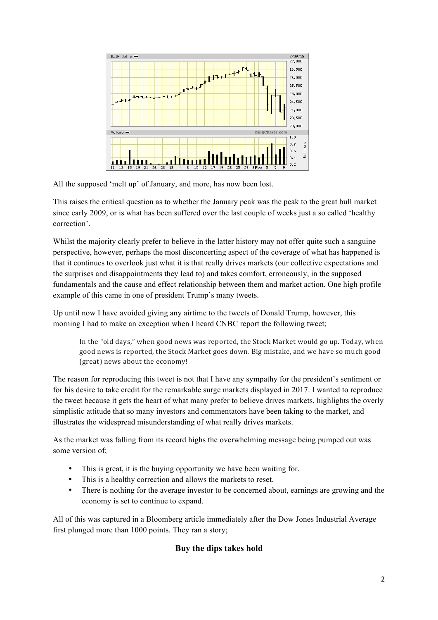

All the supposed 'melt up' of January, and more, has now been lost.

This raises the critical question as to whether the January peak was the peak to the great bull market since early 2009, or is what has been suffered over the last couple of weeks just a so called 'healthy correction'.

Whilst the majority clearly prefer to believe in the latter history may not offer quite such a sanguine perspective, however, perhaps the most disconcerting aspect of the coverage of what has happened is that it continues to overlook just what it is that really drives markets (our collective expectations and the surprises and disappointments they lead to) and takes comfort, erroneously, in the supposed fundamentals and the cause and effect relationship between them and market action. One high profile example of this came in one of president Trump's many tweets.

Up until now I have avoided giving any airtime to the tweets of Donald Trump, however, this morning I had to make an exception when I heard CNBC report the following tweet;

In the "old days," when good news was reported, the Stock Market would go up. Today, when good news is reported, the Stock Market goes down. Big mistake, and we have so much good (great) news about the economy!

The reason for reproducing this tweet is not that I have any sympathy for the president's sentiment or for his desire to take credit for the remarkable surge markets displayed in 2017. I wanted to reproduce the tweet because it gets the heart of what many prefer to believe drives markets, highlights the overly simplistic attitude that so many investors and commentators have been taking to the market, and illustrates the widespread misunderstanding of what really drives markets.

As the market was falling from its record highs the overwhelming message being pumped out was some version of:

- This is great, it is the buying opportunity we have been waiting for.
- This is a healthy correction and allows the markets to reset.
- There is nothing for the average investor to be concerned about, earnings are growing and the economy is set to continue to expand.

All of this was captured in a Bloomberg article immediately after the Dow Jones Industrial Average first plunged more than 1000 points. They ran a story;

# **Buy the dips takes hold**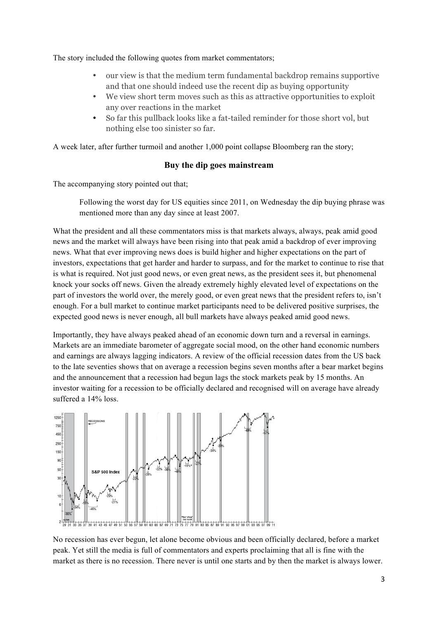The story included the following quotes from market commentators;

- our view is that the medium term fundamental backdrop remains supportive and that one should indeed use the recent dip as buying opportunity
- We view short term moves such as this as attractive opportunities to exploit any over reactions in the market
- So far this pullback looks like a fat-tailed reminder for those short vol, but nothing else too sinister so far.

A week later, after further turmoil and another 1,000 point collapse Bloomberg ran the story;

### **Buy the dip goes mainstream**

The accompanying story pointed out that;

Following the worst day for US equities since 2011, on Wednesday the dip buying phrase was mentioned more than any day since at least 2007.

What the president and all these commentators miss is that markets always, always, peak amid good news and the market will always have been rising into that peak amid a backdrop of ever improving news. What that ever improving news does is build higher and higher expectations on the part of investors, expectations that get harder and harder to surpass, and for the market to continue to rise that is what is required. Not just good news, or even great news, as the president sees it, but phenomenal knock your socks off news. Given the already extremely highly elevated level of expectations on the part of investors the world over, the merely good, or even great news that the president refers to, isn't enough. For a bull market to continue market participants need to be delivered positive surprises, the expected good news is never enough, all bull markets have always peaked amid good news.

Importantly, they have always peaked ahead of an economic down turn and a reversal in earnings. Markets are an immediate barometer of aggregate social mood, on the other hand economic numbers and earnings are always lagging indicators. A review of the official recession dates from the US back to the late seventies shows that on average a recession begins seven months after a bear market begins and the announcement that a recession had begun lags the stock markets peak by 15 months. An investor waiting for a recession to be officially declared and recognised will on average have already suffered a 14% loss.



No recession has ever begun, let alone become obvious and been officially declared, before a market peak. Yet still the media is full of commentators and experts proclaiming that all is fine with the market as there is no recession. There never is until one starts and by then the market is always lower.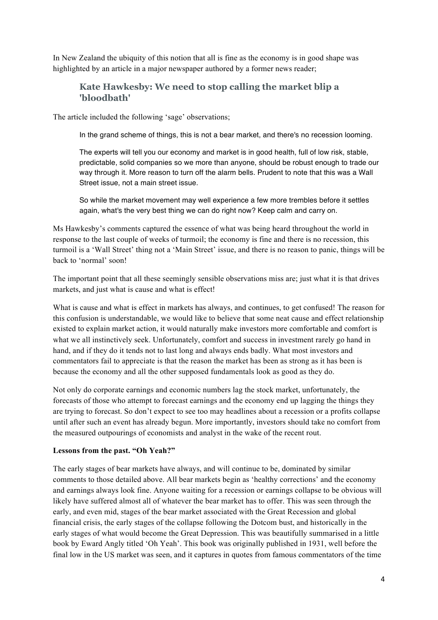In New Zealand the ubiquity of this notion that all is fine as the economy is in good shape was highlighted by an article in a major newspaper authored by a former news reader;

# **Kate Hawkesby: We need to stop calling the market blip a 'bloodbath'**

The article included the following 'sage' observations;

In the grand scheme of things, this is not a bear market, and there's no recession looming.

The experts will tell you our economy and market is in good health, full of low risk, stable, predictable, solid companies so we more than anyone, should be robust enough to trade our way through it. More reason to turn off the alarm bells. Prudent to note that this was a Wall Street issue, not a main street issue.

So while the market movement may well experience a few more trembles before it settles again, what's the very best thing we can do right now? Keep calm and carry on.

Ms Hawkesby's comments captured the essence of what was being heard throughout the world in response to the last couple of weeks of turmoil; the economy is fine and there is no recession, this turmoil is a 'Wall Street' thing not a 'Main Street' issue, and there is no reason to panic, things will be back to 'normal' soon!

The important point that all these seemingly sensible observations miss are; just what it is that drives markets, and just what is cause and what is effect!

What is cause and what is effect in markets has always, and continues, to get confused! The reason for this confusion is understandable, we would like to believe that some neat cause and effect relationship existed to explain market action, it would naturally make investors more comfortable and comfort is what we all instinctively seek. Unfortunately, comfort and success in investment rarely go hand in hand, and if they do it tends not to last long and always ends badly. What most investors and commentators fail to appreciate is that the reason the market has been as strong as it has been is because the economy and all the other supposed fundamentals look as good as they do.

Not only do corporate earnings and economic numbers lag the stock market, unfortunately, the forecasts of those who attempt to forecast earnings and the economy end up lagging the things they are trying to forecast. So don't expect to see too may headlines about a recession or a profits collapse until after such an event has already begun. More importantly, investors should take no comfort from the measured outpourings of economists and analyst in the wake of the recent rout.

#### **Lessons from the past. "Oh Yeah?"**

The early stages of bear markets have always, and will continue to be, dominated by similar comments to those detailed above. All bear markets begin as 'healthy corrections' and the economy and earnings always look fine. Anyone waiting for a recession or earnings collapse to be obvious will likely have suffered almost all of whatever the bear market has to offer. This was seen through the early, and even mid, stages of the bear market associated with the Great Recession and global financial crisis, the early stages of the collapse following the Dotcom bust, and historically in the early stages of what would become the Great Depression. This was beautifully summarised in a little book by Eward Angly titled 'Oh Yeah'. This book was originally published in 1931, well before the final low in the US market was seen, and it captures in quotes from famous commentators of the time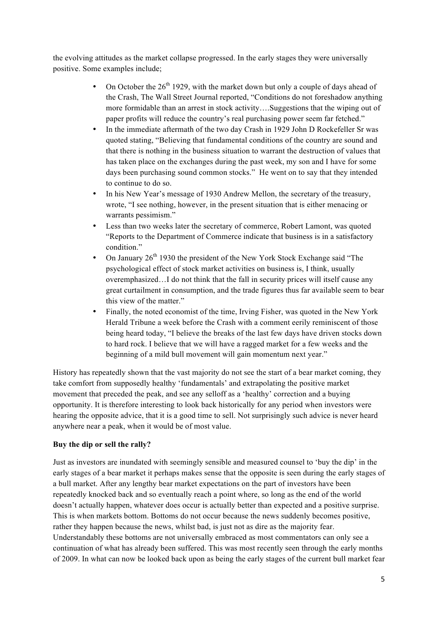the evolving attitudes as the market collapse progressed. In the early stages they were universally positive. Some examples include;

- On October the  $26<sup>th</sup>$  1929, with the market down but only a couple of days ahead of the Crash, The Wall Street Journal reported, "Conditions do not foreshadow anything more formidable than an arrest in stock activity….Suggestions that the wiping out of paper profits will reduce the country's real purchasing power seem far fetched."
- In the immediate aftermath of the two day Crash in 1929 John D Rockefeller Sr was quoted stating, "Believing that fundamental conditions of the country are sound and that there is nothing in the business situation to warrant the destruction of values that has taken place on the exchanges during the past week, my son and I have for some days been purchasing sound common stocks." He went on to say that they intended to continue to do so.
- In his New Year's message of 1930 Andrew Mellon, the secretary of the treasury, wrote, "I see nothing, however, in the present situation that is either menacing or warrants pessimism."
- Less than two weeks later the secretary of commerce, Robert Lamont, was quoted "Reports to the Department of Commerce indicate that business is in a satisfactory condition."
- On January  $26<sup>th</sup>$  1930 the president of the New York Stock Exchange said "The psychological effect of stock market activities on business is, I think, usually overemphasized…I do not think that the fall in security prices will itself cause any great curtailment in consumption, and the trade figures thus far available seem to bear this view of the matter."
- Finally, the noted economist of the time, Irving Fisher, was quoted in the New York Herald Tribune a week before the Crash with a comment eerily reminiscent of those being heard today, "I believe the breaks of the last few days have driven stocks down to hard rock. I believe that we will have a ragged market for a few weeks and the beginning of a mild bull movement will gain momentum next year."

History has repeatedly shown that the vast majority do not see the start of a bear market coming, they take comfort from supposedly healthy 'fundamentals' and extrapolating the positive market movement that preceded the peak, and see any selloff as a 'healthy' correction and a buying opportunity. It is therefore interesting to look back historically for any period when investors were hearing the opposite advice, that it is a good time to sell. Not surprisingly such advice is never heard anywhere near a peak, when it would be of most value.

# **Buy the dip or sell the rally?**

Just as investors are inundated with seemingly sensible and measured counsel to 'buy the dip' in the early stages of a bear market it perhaps makes sense that the opposite is seen during the early stages of a bull market. After any lengthy bear market expectations on the part of investors have been repeatedly knocked back and so eventually reach a point where, so long as the end of the world doesn't actually happen, whatever does occur is actually better than expected and a positive surprise. This is when markets bottom. Bottoms do not occur because the news suddenly becomes positive, rather they happen because the news, whilst bad, is just not as dire as the majority fear. Understandably these bottoms are not universally embraced as most commentators can only see a continuation of what has already been suffered. This was most recently seen through the early months of 2009. In what can now be looked back upon as being the early stages of the current bull market fear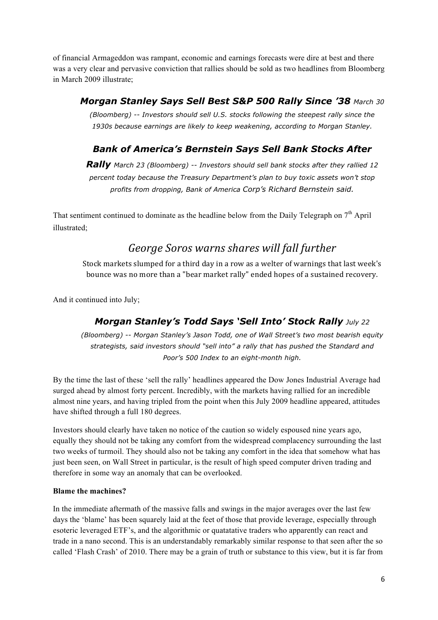of financial Armageddon was rampant, economic and earnings forecasts were dire at best and there was a very clear and pervasive conviction that rallies should be sold as two headlines from Bloomberg in March 2009 illustrate;

# *Morgan Stanley Says Sell Best S&P 500 Rally Since '38 March 30*

*(Bloomberg) -- Investors should sell U.S. stocks following the steepest rally since the 1930s because earnings are likely to keep weakening, according to Morgan Stanley.*

# *Bank of America's Bernstein Says Sell Bank Stocks After*

*Rally March 23 (Bloomberg) -- Investors should sell bank stocks after they rallied 12 percent today because the Treasury Department's plan to buy toxic assets won't stop profits from dropping, Bank of America Corp's Richard Bernstein said.*

That sentiment continued to dominate as the headline below from the Daily Telegraph on  $7<sup>th</sup>$  April illustrated;

# George Soros warns shares will fall further

Stock markets slumped for a third day in a row as a welter of warnings that last week's bounce was no more than a "bear market rally" ended hopes of a sustained recovery.

And it continued into July;

# *Morgan Stanley's Todd Says 'Sell Into' Stock Rally July 22*

*(Bloomberg) -- Morgan Stanley's Jason Todd, one of Wall Street's two most bearish equity strategists, said investors should "sell into" a rally that has pushed the Standard and Poor's 500 Index to an eight-month high.*

By the time the last of these 'sell the rally' headlines appeared the Dow Jones Industrial Average had surged ahead by almost forty percent. Incredibly, with the markets having rallied for an incredible almost nine years, and having tripled from the point when this July 2009 headline appeared, attitudes have shifted through a full 180 degrees.

Investors should clearly have taken no notice of the caution so widely espoused nine years ago, equally they should not be taking any comfort from the widespread complacency surrounding the last two weeks of turmoil. They should also not be taking any comfort in the idea that somehow what has just been seen, on Wall Street in particular, is the result of high speed computer driven trading and therefore in some way an anomaly that can be overlooked.

# **Blame the machines?**

In the immediate aftermath of the massive falls and swings in the major averages over the last few days the 'blame' has been squarely laid at the feet of those that provide leverage, especially through esoteric leveraged ETF's, and the algorithmic or quatatative traders who apparently can react and trade in a nano second. This is an understandably remarkably similar response to that seen after the so called 'Flash Crash' of 2010. There may be a grain of truth or substance to this view, but it is far from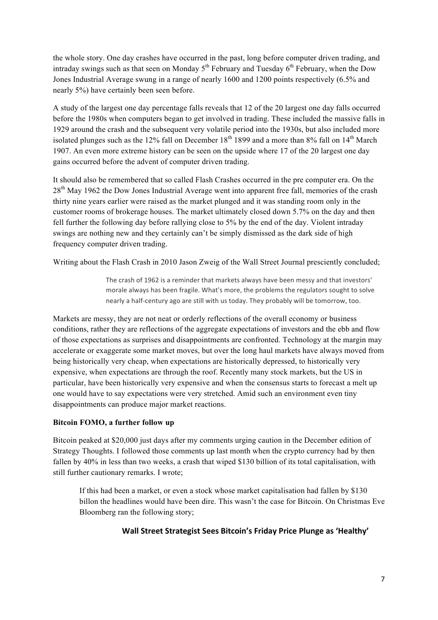the whole story. One day crashes have occurred in the past, long before computer driven trading, and intraday swings such as that seen on Monday  $5<sup>th</sup>$  February and Tuesday  $6<sup>th</sup>$  February, when the Dow Jones Industrial Average swung in a range of nearly 1600 and 1200 points respectively (6.5% and nearly 5%) have certainly been seen before.

A study of the largest one day percentage falls reveals that 12 of the 20 largest one day falls occurred before the 1980s when computers began to get involved in trading. These included the massive falls in 1929 around the crash and the subsequent very volatile period into the 1930s, but also included more isolated plunges such as the 12% fall on December 18<sup>th</sup> 1899 and a more than 8% fall on  $14<sup>th</sup>$  March 1907. An even more extreme history can be seen on the upside where 17 of the 20 largest one day gains occurred before the advent of computer driven trading.

It should also be remembered that so called Flash Crashes occurred in the pre computer era. On the 28<sup>th</sup> May 1962 the Dow Jones Industrial Average went into apparent free fall, memories of the crash thirty nine years earlier were raised as the market plunged and it was standing room only in the customer rooms of brokerage houses. The market ultimately closed down 5.7% on the day and then fell further the following day before rallying close to 5% by the end of the day. Violent intraday swings are nothing new and they certainly can't be simply dismissed as the dark side of high frequency computer driven trading.

Writing about the Flash Crash in 2010 Jason Zweig of the Wall Street Journal presciently concluded;

The crash of 1962 is a reminder that markets always have been messy and that investors' morale always has been fragile. What's more, the problems the regulators sought to solve nearly a half-century ago are still with us today. They probably will be tomorrow, too.

Markets are messy, they are not neat or orderly reflections of the overall economy or business conditions, rather they are reflections of the aggregate expectations of investors and the ebb and flow of those expectations as surprises and disappointments are confronted. Technology at the margin may accelerate or exaggerate some market moves, but over the long haul markets have always moved from being historically very cheap, when expectations are historically depressed, to historically very expensive, when expectations are through the roof. Recently many stock markets, but the US in particular, have been historically very expensive and when the consensus starts to forecast a melt up one would have to say expectations were very stretched. Amid such an environment even tiny disappointments can produce major market reactions.

# **Bitcoin FOMO, a further follow up**

Bitcoin peaked at \$20,000 just days after my comments urging caution in the December edition of Strategy Thoughts. I followed those comments up last month when the crypto currency had by then fallen by 40% in less than two weeks, a crash that wiped \$130 billion of its total capitalisation, with still further cautionary remarks. I wrote;

If this had been a market, or even a stock whose market capitalisation had fallen by \$130 billon the headlines would have been dire. This wasn't the case for Bitcoin. On Christmas Eve Bloomberg ran the following story;

# **Wall Street Strategist Sees Bitcoin's Friday Price Plunge as 'Healthy'**